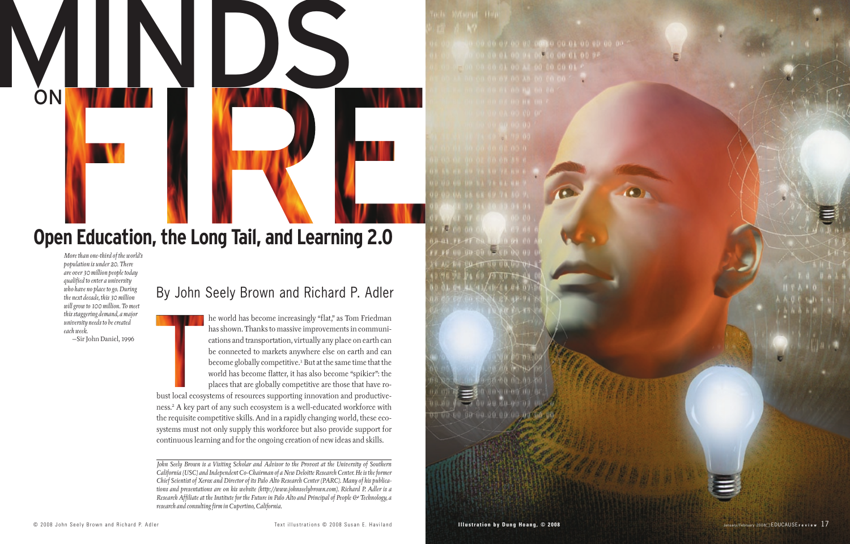

# By John Seely Brown and Richard P. Adler

# **Open Education, the Long Tail, and Learning 2.0**

**MINDS** 

*John Seely Brown is a Visiting Scholar and Advisor to the Provost at the University of Southern California (USC) and Independent Co-Chairman of a New Deloitte Research Center. He is the former Chief Scientist of Xerox and Director of its Palo Alto Research Center (PARC). Many of his publications and presentations are on his website (http://www.johnseelybrown.com). Richard P. Adler is a Research Affiliate at the Institute for the Future in Palo Alto and Principal of People & Technology, a research and consulting firm in Cupertino, California.*

**CONTRACTOR** 

100001009

staggering demand, a major<br>versity needs to be created<br>h week.<br>—Sir John Daniel, 1996<br><br>bust local ecosys he world has become increasingly "flat," as Tom Friedman has shown. Thanks to massive improvements in communications and transportation, virtually any place on earth can be connected to markets anywhere else on earth and can become globally competitive.<sup>1</sup> But at the same time that the world has become flatter, it has also become "spikier": the places that are globally competitive are those that have robust local ecosystems of resources supporting innovation and productiveness.2 A key part of any such ecosystem is a well-educated workforce with the requisite competitive skills. And in a rapidly changing world, these eco-

*More than one-third of the world's population is under 20. There are over 30 million people today qualified to enter a university who have no place to go. During the next decade, this 30 million will grow to 100 million. To meet this staggering demand, a major university needs to be created each week.*

**ON** 

systems must not only supply this workforce but also provide support for continuous learning and for the ongoing creation of new ideas and skills.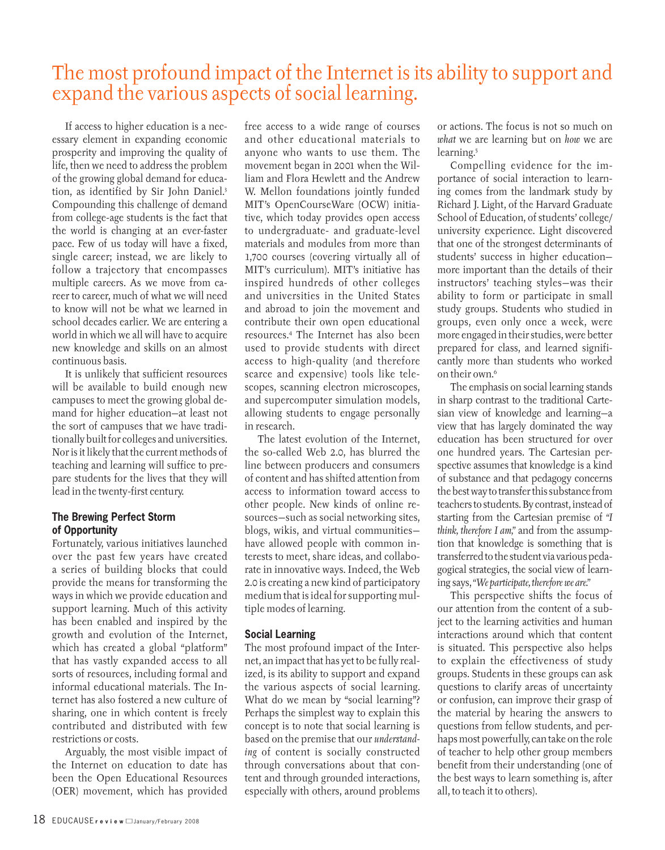## The most profound impact of the Internet is its ability to support and expand the various aspects of social learning.

If access to higher education is a necessary element in expanding economic prosperity and improving the quality of life, then we need to address the problem of the growing global demand for education, as identified by Sir John Daniel.<sup>3</sup> Compounding this challenge of demand from college-age students is the fact that the world is changing at an ever-faster pace. Few of us today will have a fixed, single career; instead, we are likely to follow a trajectory that encompasses multiple careers. As we move from career to career, much of what we will need to know will not be what we learned in school decades earlier. We are entering a world in which we all will have to acquire new knowledge and skills on an almost continuous basis.

It is unlikely that sufficient resources will be available to build enough new campuses to meet the growing global demand for higher education—at least not the sort of campuses that we have traditionally built for colleges and universities. Nor is it likely that the current methods of teaching and learning will suffice to prepare students for the lives that they will lead in the twenty-first century.

#### **The Brewing Perfect Storm of Opportunity**

Fortunately, various initiatives launched over the past few years have created a series of building blocks that could provide the means for transforming the ways in which we provide education and support learning. Much of this activity has been enabled and inspired by the growth and evolution of the Internet, which has created a global "platform" that has vastly expanded access to all sorts of resources, including formal and informal educational materials. The Internet has also fostered a new culture of sharing, one in which content is freely contributed and distributed with few restrictions or costs.

Arguably, the most visible impact of the Internet on education to date has been the Open Educational Resources (OER) movement, which has provided

free access to a wide range of courses and other educational materials to anyone who wants to use them. The movement began in 2001 when the William and Flora Hewlett and the Andrew W. Mellon foundations jointly funded MIT's OpenCourseWare (OCW) initiative, which today provides open access to undergraduate- and graduate-level materials and modules from more than 1,700 courses (covering virtually all of MIT's curriculum). MIT's initiative has inspired hundreds of other colleges and universities in the United States and abroad to join the movement and contribute their own open educational resources.4 The Internet has also been used to provide students with direct access to high-quality (and therefore scarce and expensive) tools like telescopes, scanning electron microscopes, and supercomputer simulation models, allowing students to engage personally in research.

The latest evolution of the Internet, the so-called Web 2.0, has blurred the line between producers and consumers of content and has shifted attention from access to information toward access to other people. New kinds of online resources—such as social networking sites, blogs, wikis, and virtual communities have allowed people with common interests to meet, share ideas, and collaborate in innovative ways. Indeed, the Web 2.0 is creating a new kind of participatory medium that is ideal for supporting multiple modes of learning.

#### **Social Learning**

The most profound impact of the Internet, an impact that has yet to be fully realized, is its ability to support and expand the various aspects of social learning. What do we mean by "social learning"? Perhaps the simplest way to explain this concept is to note that social learning is based on the premise that our *understanding* of content is socially constructed through conversations about that content and through grounded interactions, especially with others, around problems or actions. The focus is not so much on *what* we are learning but on *how* we are learning.<sup>5</sup>

Compelling evidence for the importance of social interaction to learning comes from the landmark study by Richard J. Light, of the Harvard Graduate School of Education, of students' college/ university experience. Light discovered that one of the strongest determinants of students' success in higher education more important than the details of their instructors' teaching styles—was their ability to form or participate in small study groups. Students who studied in groups, even only once a week, were more engaged in their studies, were better prepared for class, and learned significantly more than students who worked on their own.6

The emphasis on social learning stands in sharp contrast to the traditional Cartesian view of knowledge and learning—a view that has largely dominated the way education has been structured for over one hundred years. The Cartesian perspective assumes that knowledge is a kind of substance and that pedagogy concerns the best way to transfer this substance from teachers to students. By contrast, instead of starting from the Cartesian premise of *"I think, therefore I am,"* and from the assumption that knowledge is something that is transferred to the student via various pedagogical strategies, the social view of learning says, *"We participate, therefore we are."*

This perspective shifts the focus of our attention from the content of a subject to the learning activities and human interactions around which that content is situated. This perspective also helps to explain the effectiveness of study groups. Students in these groups can ask questions to clarify areas of uncertainty or confusion, can improve their grasp of the material by hearing the answers to questions from fellow students, and perhaps most powerfully, can take on the role of teacher to help other group members benefit from their understanding (one of the best ways to learn something is, after all, to teach it to others).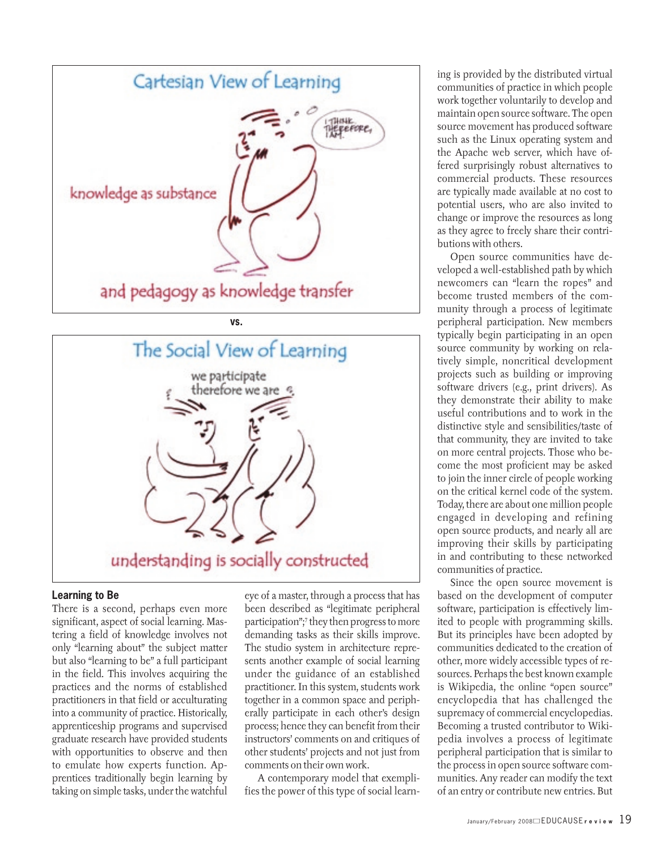

#### **Learning to Be**

There is a second, perhaps even more significant, aspect of social learning. Mastering a field of knowledge involves not only "learning about" the subject matter but also "learning to be" a full participant in the field. This involves acquiring the practices and the norms of established practitioners in that field or acculturating into a community of practice. Historically, apprenticeship programs and supervised graduate research have provided students with opportunities to observe and then to emulate how experts function. Apprentices traditionally begin learning by taking on simple tasks, under the watchful

eye of a master, through a process that has been described as "legitimate peripheral participation";7 they then progress to more demanding tasks as their skills improve. The studio system in architecture represents another example of social learning under the guidance of an established practitioner. In this system, students work together in a common space and peripherally participate in each other's design process; hence they can benefit from their instructors' comments on and critiques of other students' projects and not just from comments on their own work.

A contemporary model that exemplifies the power of this type of social learning is provided by the distributed virtual communities of practice in which people work together voluntarily to develop and maintain open source software. The open source movement has produced software such as the Linux operating system and the Apache web server, which have offered surprisingly robust alternatives to commercial products. These resources are typically made available at no cost to potential users, who are also invited to change or improve the resources as long as they agree to freely share their contributions with others.

Open source communities have developed a well-established path by which newcomers can "learn the ropes" and become trusted members of the community through a process of legitimate peripheral participation. New members typically begin participating in an open source community by working on relatively simple, noncritical development projects such as building or improving software drivers (e.g., print drivers). As they demonstrate their ability to make useful contributions and to work in the distinctive style and sensibilities/taste of that community, they are invited to take on more central projects. Those who become the most proficient may be asked to join the inner circle of people working on the critical kernel code of the system. Today, there are about one million people engaged in developing and refining open source products, and nearly all are improving their skills by participating in and contributing to these networked communities of practice.

Since the open source movement is based on the development of computer software, participation is effectively limited to people with programming skills. But its principles have been adopted by communities dedicated to the creation of other, more widely accessible types of resources. Perhaps the best known example is Wikipedia, the online "open source" encyclopedia that has challenged the supremacy of commercial encyclopedias. Becoming a trusted contributor to Wikipedia involves a process of legitimate peripheral participation that is similar to the process in open source software communities. Any reader can modify the text of an entry or contribute new entries. But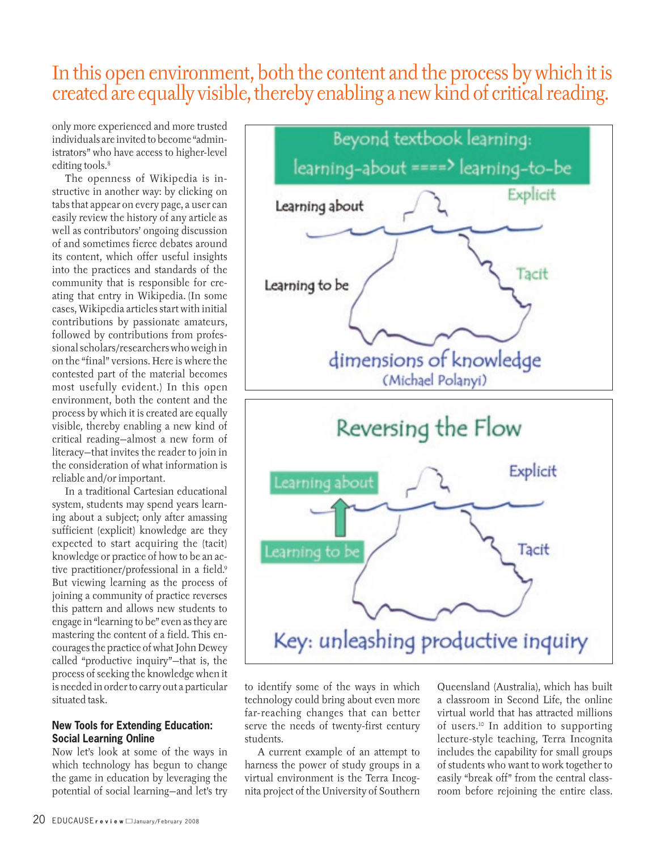## In this open environment, both the content and the process by which it is created are equally visible, thereby enabling a new kind of critical reading.

only more experienced and more trusted individuals are invited to become "administrators" who have access to higher-level editing tools.<sup>8</sup>

The openness of Wikipedia is instructive in another way: by clicking on tabs that appear on every page, a user can easily review the history of any article as well as contributors' ongoing discussion of and sometimes fierce debates around its content, which offer useful insights into the practices and standards of the community that is responsible for creating that entry in Wikipedia. (In some cases, Wikipedia articles start with initial contributions by passionate amateurs, followed by contributions from professional scholars/researchers who weigh in on the "final" versions. Here is where the contested part of the material becomes most usefully evident.) In this open environment, both the content and the process by which it is created are equally visible, thereby enabling a new kind of critical reading—almost a new form of literacy—that invites the reader to join in the consideration of what information is reliable and/or important.

In a traditional Cartesian educational system, students may spend years learning about a subject; only after amassing sufficient (explicit) knowledge are they expected to start acquiring the (tacit) knowledge or practice of how to be an active practitioner/professional in a field.<sup>9</sup> But viewing learning as the process of joining a community of practice reverses this pattern and allows new students to engage in "learning to be" even as they are mastering the content of a field. This encourages the practice of what John Dewey called "productive inquiry"—that is, the process of seeking the knowledge when it is needed in order to carry out a particular situated task.

#### **New Tools for Extending Education: Social Learning Online**

Now let's look at some of the ways in which technology has begun to change the game in education by leveraging the potential of social learning—and let's try



to identify some of the ways in which technology could bring about even more far-reaching changes that can better serve the needs of twenty-first century students.

A current example of an attempt to harness the power of study groups in a virtual environment is the Terra Incognita project of the University of Southern Queensland (Australia), which has built a classroom in Second Life, the online virtual world that has attracted millions of users.10 In addition to supporting lecture-style teaching, Terra Incognita includes the capability for small groups of students who want to work together to easily "break off" from the central classroom before rejoining the entire class.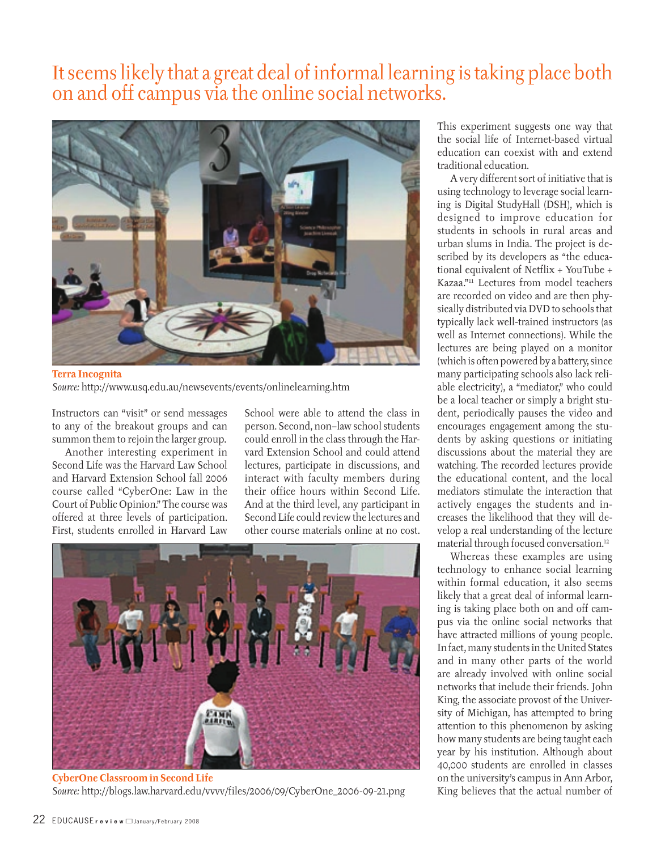## It seems likely that a great deal of informal learning is taking place both on and off campus via the online social networks.



**Terra Incognita** *Source:* http://www.usq.edu.au/newsevents/events/onlinelearning.htm

Instructors can "visit" or send messages to any of the breakout groups and can summon them to rejoin the larger group.

Another interesting experiment in Second Life was the Harvard Law School and Harvard Extension School fall 2006 course called "CyberOne: Law in the Court of Public Opinion." The course was offered at three levels of participation. First, students enrolled in Harvard Law

School were able to attend the class in person. Second, non–law school students could enroll in the class through the Harvard Extension School and could attend lectures, participate in discussions, and interact with faculty members during their office hours within Second Life. And at the third level, any participant in Second Life could review the lectures and other course materials online at no cost.



**CyberOne Classroom in Second Life** *Source:* http://blogs.law.harvard.edu/vvvv/files/2006/09/CyberOne\_2006-09-21.png

This experiment suggests one way that the social life of Internet-based virtual education can coexist with and extend traditional education.

A very different sort of initiative that is using technology to leverage social learning is Digital StudyHall (DSH), which is designed to improve education for students in schools in rural areas and urban slums in India. The project is described by its developers as "the educational equivalent of Netflix + YouTube + Kazaa."11 Lectures from model teachers are recorded on video and are then physically distributed via DVD to schools that typically lack well-trained instructors (as well as Internet connections). While the lectures are being played on a monitor (which is often powered by a battery, since many participating schools also lack reliable electricity), a "mediator," who could be a local teacher or simply a bright student, periodically pauses the video and encourages engagement among the students by asking questions or initiating discussions about the material they are watching. The recorded lectures provide the educational content, and the local mediators stimulate the interaction that actively engages the students and increases the likelihood that they will develop a real understanding of the lecture material through focused conversation.12

Whereas these examples are using technology to enhance social learning within formal education, it also seems likely that a great deal of informal learning is taking place both on and off campus via the online social networks that have attracted millions of young people. In fact, many students in the United States and in many other parts of the world are already involved with online social networks that include their friends. John King, the associate provost of the University of Michigan, has attempted to bring attention to this phenomenon by asking how many students are being taught each year by his institution. Although about 40,000 students are enrolled in classes on the university's campus in Ann Arbor, King believes that the actual number of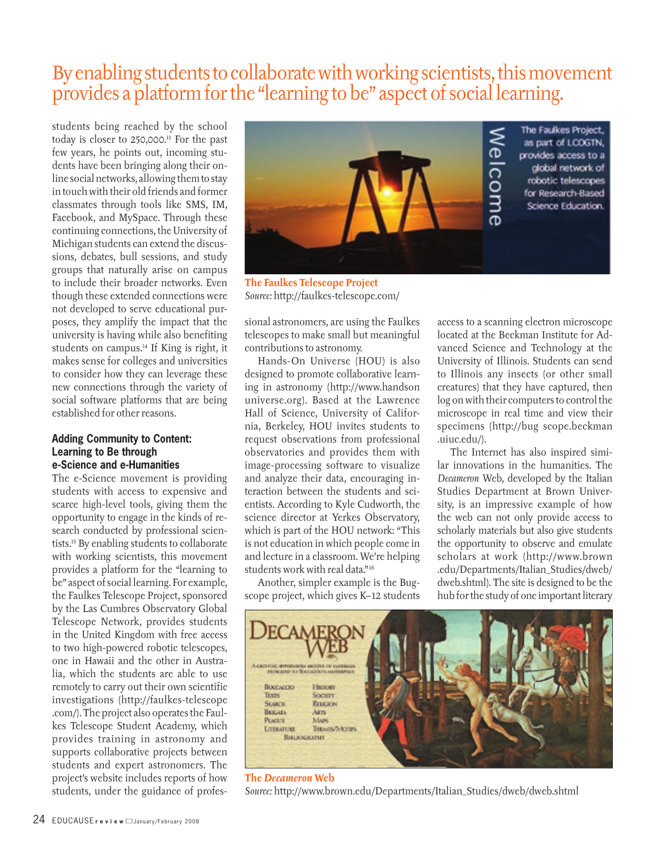## By enabling students to collaborate with working scientists, this movement provides a platform for the "learning to be" aspect of social learning.

students being reached by the school today is closer to 250,000.13 For the past few years, he points out, incoming students have been bringing along their online social networks, allowing them to stay in touch with their old friends and former classmates through tools like SMS, IM, Facebook, and MySpace. Through these continuing connections, the University of Michigan students can extend the discussions, debates, bull sessions, and study groups that naturally arise on campus to include their broader networks. Even though these extended connections were not developed to serve educational purposes, they amplify the impact that the university is having while also benefiting students on campus.14 If King is right, it makes sense for colleges and universities to consider how they can leverage these new connections through the variety of social software platforms that are being established for other reasons.

#### **Adding Community to Content: Learning to Be through e-Science and e-Humanities**

The e-Science movement is providing students with access to expensive and scarce high-level tools, giving them the opportunity to engage in the kinds of research conducted by professional scientists.15 By enabling students to collaborate with working scientists, this movement provides a platform for the "learning to be" aspect of social learning. For example, the Faulkes Telescope Project, sponsored by the Las Cumbres Observatory Global Telescope Network, provides students in the United Kingdom with free access to two high-powered robotic telescopes, one in Hawaii and the other in Australia, which the students are able to use remotely to carry out their own scientific investigations (http://faulkes-telescope .com/). The project also operates the Faulkes Telescope Student Academy, which provides training in astronomy and supports collaborative projects between students and expert astronomers. The project's website includes reports of how students, under the guidance of profes-



**The Faulkes Telescope Project** *Source:* http://faulkes-telescope.com/

sional astronomers, are using the Faulkes telescopes to make small but meaningful contributions to astronomy.

Hands-On Universe (HOU) is also designed to promote collaborative learning in astronomy (http://www.handson universe.org). Based at the Lawrence Hall of Science, University of California, Berkeley, HOU invites students to request observations from professional observatories and provides them with image-processing software to visualize and analyze their data, encouraging interaction between the students and scientists. According to Kyle Cudworth, the science director at Yerkes Observatory, which is part of the HOU network: "This is not education in which people come in and lecture in a classroom. We're helping students work with real data."16

Another, simpler example is the Bugscope project, which gives K–12 students access to a scanning electron microscope located at the Beckman Institute for Advanced Science and Technology at the University of Illinois. Students can send to Illinois any insects (or other small creatures) that they have captured, then log on with their computers to control the microscope in real time and view their specimens (http://bug scope.beckman .uiuc.edu/).

The Internet has also inspired similar innovations in the humanities. The *Decameron* Web, developed by the Italian Studies Department at Brown University, is an impressive example of how the web can not only provide access to scholarly materials but also give students the opportunity to observe and emulate scholars at work (http://www.brown .edu/Departments/Italian\_Studies/dweb/ dweb.shtml). The site is designed to be the hub for the study of one important literary



**The** *Decameron* **Web** *Source:* http://www.brown.edu/Departments/Italian\_Studies/dweb/dweb.shtml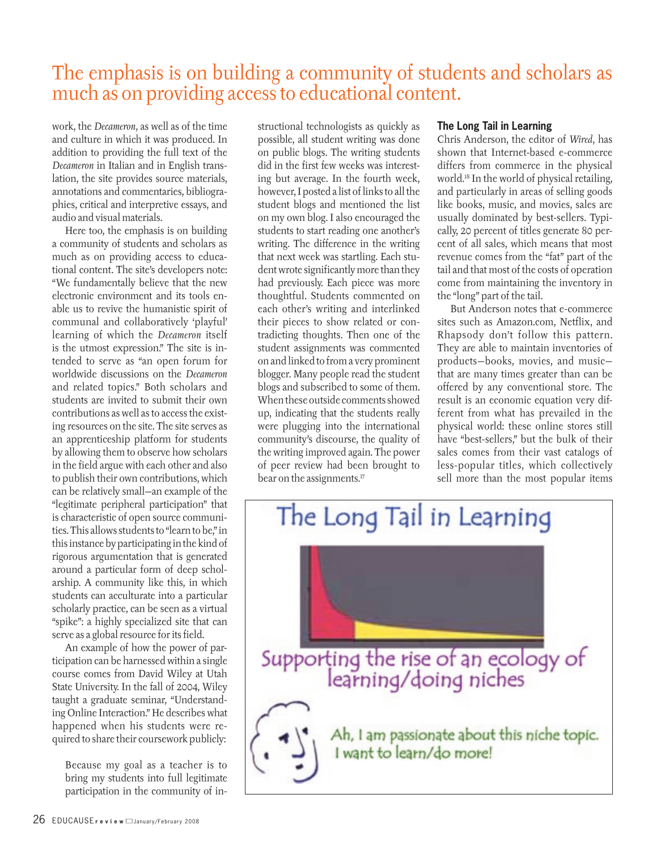## The emphasis is on building a community of students and scholars as much as on providing access to educational content.

work, the *Decameron*, as well as of the time and culture in which it was produced. In addition to providing the full text of the *Decameron* in Italian and in English translation, the site provides source materials, annotations and commentaries, bibliographies, critical and interpretive essays, and audio and visual materials.

Here too, the emphasis is on building a community of students and scholars as much as on providing access to educational content. The site's developers note: "We fundamentally believe that the new electronic environment and its tools enable us to revive the humanistic spirit of communal and collaboratively 'playful' learning of which the *Decameron* itself is the utmost expression." The site is intended to serve as "an open forum for worldwide discussions on the *Decameron* and related topics." Both scholars and students are invited to submit their own contributions as well as to access the existing resources on the site. The site serves as an apprenticeship platform for students by allowing them to observe how scholars in the field argue with each other and also to publish their own contributions, which can be relatively small—an example of the "legitimate peripheral participation" that is characteristic of open source communities. This allows students to "learn to be," in this instance by participating in the kind of rigorous argumentation that is generated around a particular form of deep scholarship. A community like this, in which students can acculturate into a particular scholarly practice, can be seen as a virtual "spike": a highly specialized site that can serve as a global resource for its field.

An example of how the power of participation can be harnessed within a single course comes from David Wiley at Utah State University. In the fall of 2004, Wiley taught a graduate seminar, "Understanding Online Interaction." He describes what happened when his students were required to share their coursework publicly:

Because my goal as a teacher is to bring my students into full legitimate participation in the community of instructional technologists as quickly as possible, all student writing was done on public blogs. The writing students did in the first few weeks was interesting but average. In the fourth week, however, I posted a list of links to all the student blogs and mentioned the list on my own blog. I also encouraged the students to start reading one another's writing. The difference in the writing that next week was startling. Each student wrote significantly more than they had previously. Each piece was more thoughtful. Students commented on each other's writing and interlinked their pieces to show related or contradicting thoughts. Then one of the student assignments was commented on and linked to from a very prominent blogger. Many people read the student blogs and subscribed to some of them. When these outside comments showed up, indicating that the students really were plugging into the international community's discourse, the quality of the writing improved again. The power of peer review had been brought to bear on the assignments.<sup>17</sup>

#### **The Long Tail in Learning**

Chris Anderson, the editor of *Wired*, has shown that Internet-based e-commerce differs from commerce in the physical world.18 In the world of physical retailing, and particularly in areas of selling goods like books, music, and movies, sales are usually dominated by best-sellers. Typically, 20 percent of titles generate 80 percent of all sales, which means that most revenue comes from the "fat" part of the tail and that most of the costs of operation come from maintaining the inventory in the "long" part of the tail.

But Anderson notes that e-commerce sites such as Amazon.com, Netflix, and Rhapsody don't follow this pattern. They are able to maintain inventories of products—books, movies, and music that are many times greater than can be offered by any conventional store. The result is an economic equation very different from what has prevailed in the physical world: these online stores still have "best-sellers," but the bulk of their sales comes from their vast catalogs of less-popular titles, which collectively sell more than the most popular items

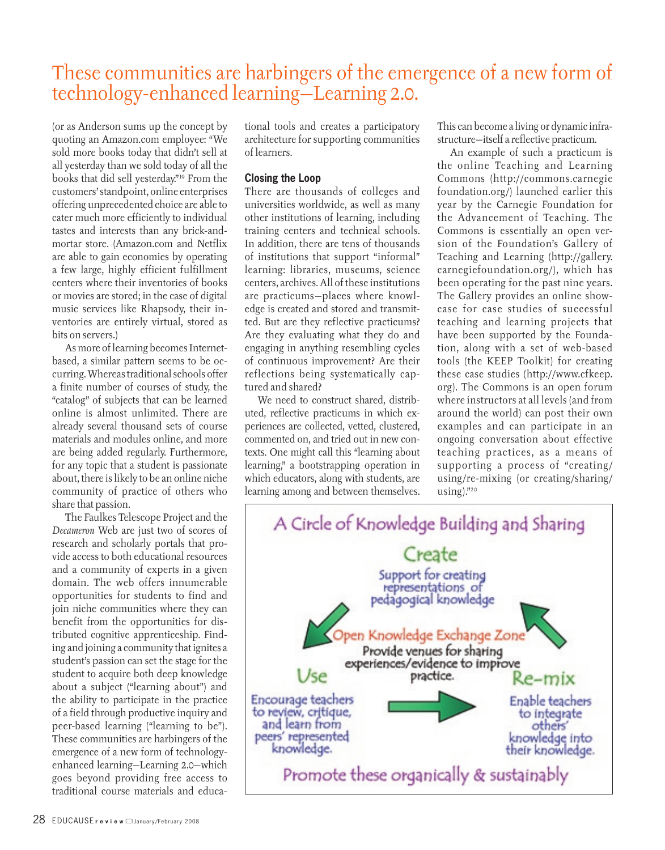## These communities are harbingers of the emergence of a new form of technology-enhanced learning—Learning 2.0.

(or as Anderson sums up the concept by quoting an Amazon.com employee: "We sold more books today that didn't sell at all yesterday than we sold today of all the books that did sell yesterday."19 From the customers' standpoint, online enterprises offering unprecedented choice are able to cater much more efficiently to individual tastes and interests than any brick-andmortar store. (Amazon.com and Netflix are able to gain economies by operating a few large, highly efficient fulfillment centers where their inventories of books or movies are stored; in the case of digital music services like Rhapsody, their inventories are entirely virtual, stored as bits on servers.)

As more of learning becomes Internetbased, a similar pattern seems to be occurring. Whereas traditional schools offer a finite number of courses of study, the "catalog" of subjects that can be learned online is almost unlimited. There are already several thousand sets of course materials and modules online, and more are being added regularly. Furthermore, for any topic that a student is passionate about, there is likely to be an online niche community of practice of others who share that passion.

The Faulkes Telescope Project and the *Decameron* Web are just two of scores of research and scholarly portals that provide access to both educational resources and a community of experts in a given domain. The web offers innumerable opportunities for students to find and join niche communities where they can benefit from the opportunities for distributed cognitive apprenticeship. Finding and joining a community that ignites a student's passion can set the stage for the student to acquire both deep knowledge about a subject ("learning about") and the ability to participate in the practice of a field through productive inquiry and peer-based learning ("learning to be"). These communities are harbingers of the emergence of a new form of technologyenhanced learning—Learning 2.0—which goes beyond providing free access to traditional course materials and educa-

tional tools and creates a participatory architecture for supporting communities of learners.

#### **Closing the Loop**

There are thousands of colleges and universities worldwide, as well as many other institutions of learning, including training centers and technical schools. In addition, there are tens of thousands of institutions that support "informal" learning: libraries, museums, science centers, archives. All of these institutions are practicums—places where knowledge is created and stored and transmitted. But are they reflective practicums? Are they evaluating what they do and engaging in anything resembling cycles of continuous improvement? Are their reflections being systematically captured and shared?

We need to construct shared, distributed, reflective practicums in which experiences are collected, vetted, clustered, commented on, and tried out in new contexts. One might call this "learning about learning," a bootstrapping operation in which educators, along with students, are learning among and between themselves. This can become a living or dynamic infrastructure—itself a reflective practicum.

An example of such a practicum is the online Teaching and Learning Commons (http://commons.carnegie foundation.org/) launched earlier this year by the Carnegie Foundation for the Advancement of Teaching. The Commons is essentially an open version of the Foundation's Gallery of Teaching and Learning (http://gallery. carnegiefoundation.org/), which has been operating for the past nine years. The Gallery provides an online showcase for case studies of successful teaching and learning projects that have been supported by the Foundation, along with a set of web-based tools (the KEEP Toolkit) for creating these case studies (http://www.cfkeep. org). The Commons is an open forum where instructors at all levels (and from around the world) can post their own examples and can participate in an ongoing conversation about effective teaching practices, as a means of supporting a process of "creating/ using/re-mixing (or creating/sharing/ using)."20

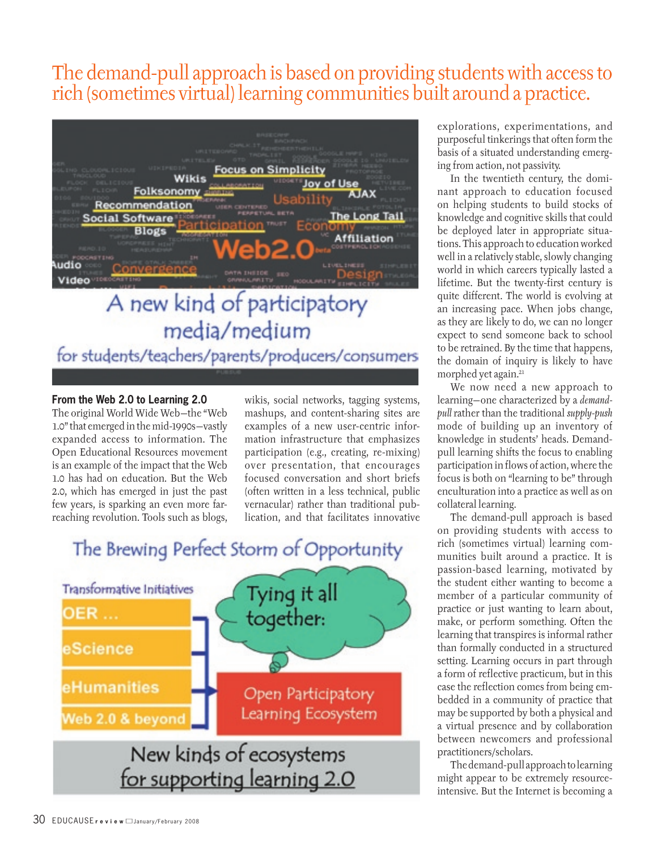## The demand-pull approach is based on providing students with access to rich (sometimes virtual) learning communities built around a practice.



## A new kind of participatory media/medium for students/teachers/parents/producers/consumers

#### **From the Web 2.0 to Learning 2.0**

The original World Wide Web—the "Web 1.0" that emerged in the mid-1990s—vastly expanded access to information. The Open Educational Resources movement is an example of the impact that the Web 1.0 has had on education. But the Web 2.0, which has emerged in just the past few years, is sparking an even more farreaching revolution. Tools such as blogs,

wikis, social networks, tagging systems, mashups, and content-sharing sites are examples of a new user-centric information infrastructure that emphasizes participation (e.g., creating, re-mixing) over presentation, that encourages focused conversation and short briefs (often written in a less technical, public vernacular) rather than traditional publication, and that facilitates innovative



explorations, experimentations, and purposeful tinkerings that often form the basis of a situated understanding emerging from action, not passivity.

In the twentieth century, the dominant approach to education focused on helping students to build stocks of knowledge and cognitive skills that could be deployed later in appropriate situations. This approach to education worked well in a relatively stable, slowly changing world in which careers typically lasted a lifetime. But the twenty-first century is quite different. The world is evolving at an increasing pace. When jobs change, as they are likely to do, we can no longer expect to send someone back to school to be retrained. By the time that happens, the domain of inquiry is likely to have morphed yet again.21

We now need a new approach to learning—one characterized by a *demandpull* rather than the traditional *supply-push* mode of building up an inventory of knowledge in students' heads. Demandpull learning shifts the focus to enabling participation in flows of action, where the focus is both on "learning to be" through enculturation into a practice as well as on collateral learning.

The demand-pull approach is based on providing students with access to rich (sometimes virtual) learning communities built around a practice. It is passion-based learning, motivated by the student either wanting to become a member of a particular community of practice or just wanting to learn about, make, or perform something. Often the learning that transpires is informal rather than formally conducted in a structured setting. Learning occurs in part through a form of reflective practicum, but in this case the reflection comes from being embedded in a community of practice that may be supported by both a physical and a virtual presence and by collaboration between newcomers and professional practitioners/scholars.

The demand-pull approach to learning might appear to be extremely resourceintensive. But the Internet is becoming a